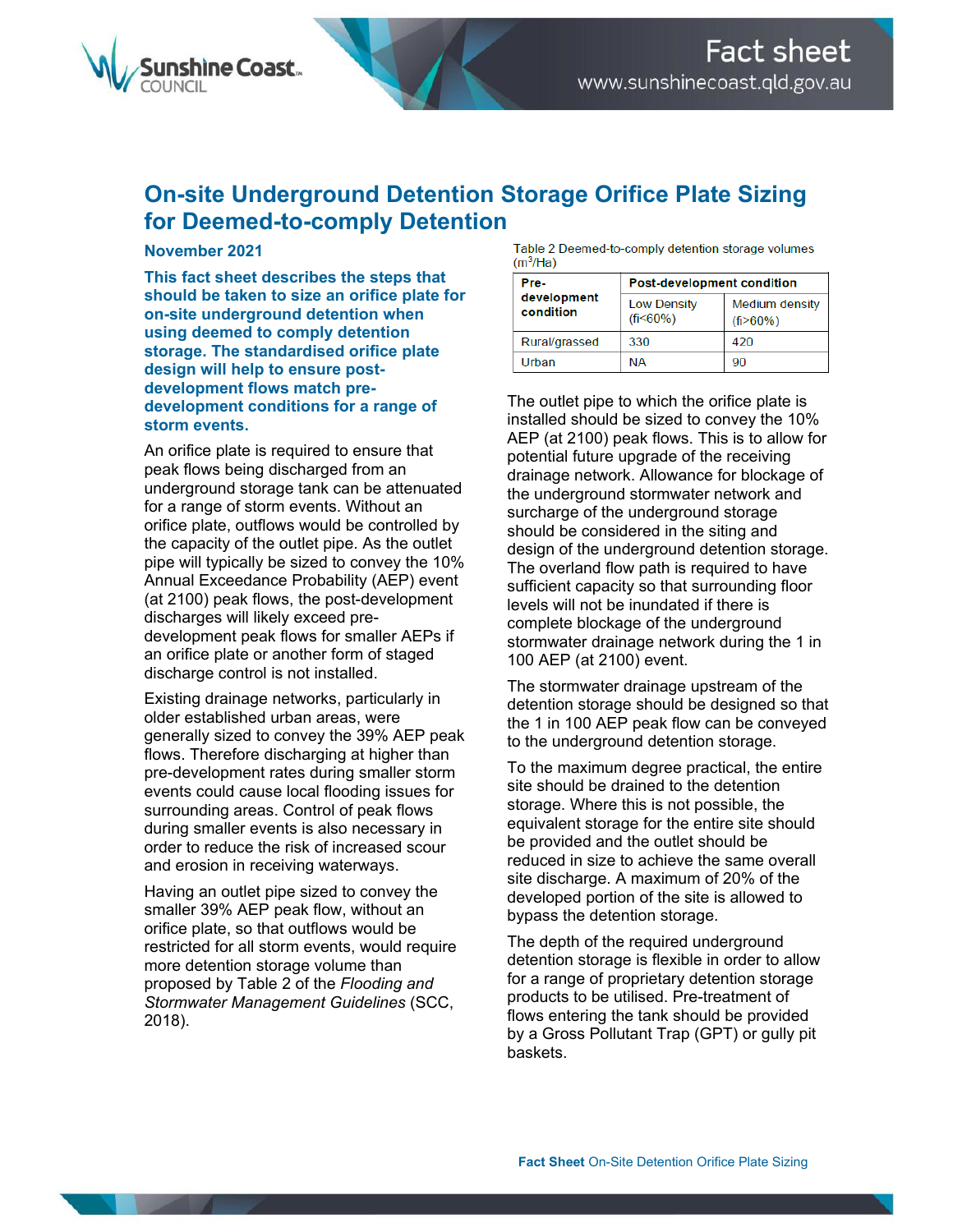

## **On-site Underground Detention Storage Orifice Plate Sizing for Deemed-to-comply Detention**

## **November 2021**

**This fact sheet describes the steps that should be taken to size an orifice plate for on-site underground detention when using deemed to comply detention storage. The standardised orifice plate design will help to ensure postdevelopment flows match predevelopment conditions for a range of storm events.** 

An orifice plate is required to ensure that peak flows being discharged from an underground storage tank can be attenuated for a range of storm events. Without an orifice plate, outflows would be controlled by the capacity of the outlet pipe. As the outlet pipe will typically be sized to convey the 10% Annual Exceedance Probability (AEP) event (at 2100) peak flows, the post-development discharges will likely exceed predevelopment peak flows for smaller AEPs if an orifice plate or another form of staged discharge control is not installed.

Existing drainage networks, particularly in older established urban areas, were generally sized to convey the 39% AEP peak flows. Therefore discharging at higher than pre-development rates during smaller storm events could cause local flooding issues for surrounding areas. Control of peak flows during smaller events is also necessary in order to reduce the risk of increased scour and erosion in receiving waterways.

Having an outlet pipe sized to convey the smaller 39% AEP peak flow, without an orifice plate, so that outflows would be restricted for all storm events, would require more detention storage volume than proposed by Table 2 of the *Flooding and Stormwater Management Guidelines* (SCC, 2018).

Table 2 Deemed-to-comply detention storage volumes  $(m<sup>3</sup>/Ha)$ 

| Pre-<br>development<br>condition | <b>Post-development condition</b>    |                                                |
|----------------------------------|--------------------------------------|------------------------------------------------|
|                                  | <b>Low Density</b><br>$(f_1 < 60\%)$ | <b>Medium density</b><br>(f <sub>i</sub> >60%) |
| Rural/grassed                    | 330                                  | 420                                            |
| Urban                            | ΝA                                   | 90                                             |

The outlet pipe to which the orifice plate is installed should be sized to convey the 10% AEP (at 2100) peak flows. This is to allow for potential future upgrade of the receiving drainage network. Allowance for blockage of the underground stormwater network and surcharge of the underground storage should be considered in the siting and design of the underground detention storage. The overland flow path is required to have sufficient capacity so that surrounding floor levels will not be inundated if there is complete blockage of the underground stormwater drainage network during the 1 in 100 AEP (at 2100) event.

The stormwater drainage upstream of the detention storage should be designed so that the 1 in 100 AEP peak flow can be conveyed to the underground detention storage.

To the maximum degree practical, the entire site should be drained to the detention storage. Where this is not possible, the equivalent storage for the entire site should be provided and the outlet should be reduced in size to achieve the same overall site discharge. A maximum of 20% of the developed portion of the site is allowed to bypass the detention storage.

The depth of the required underground detention storage is flexible in order to allow for a range of proprietary detention storage products to be utilised. Pre-treatment of flows entering the tank should be provided by a Gross Pollutant Trap (GPT) or gully pit baskets.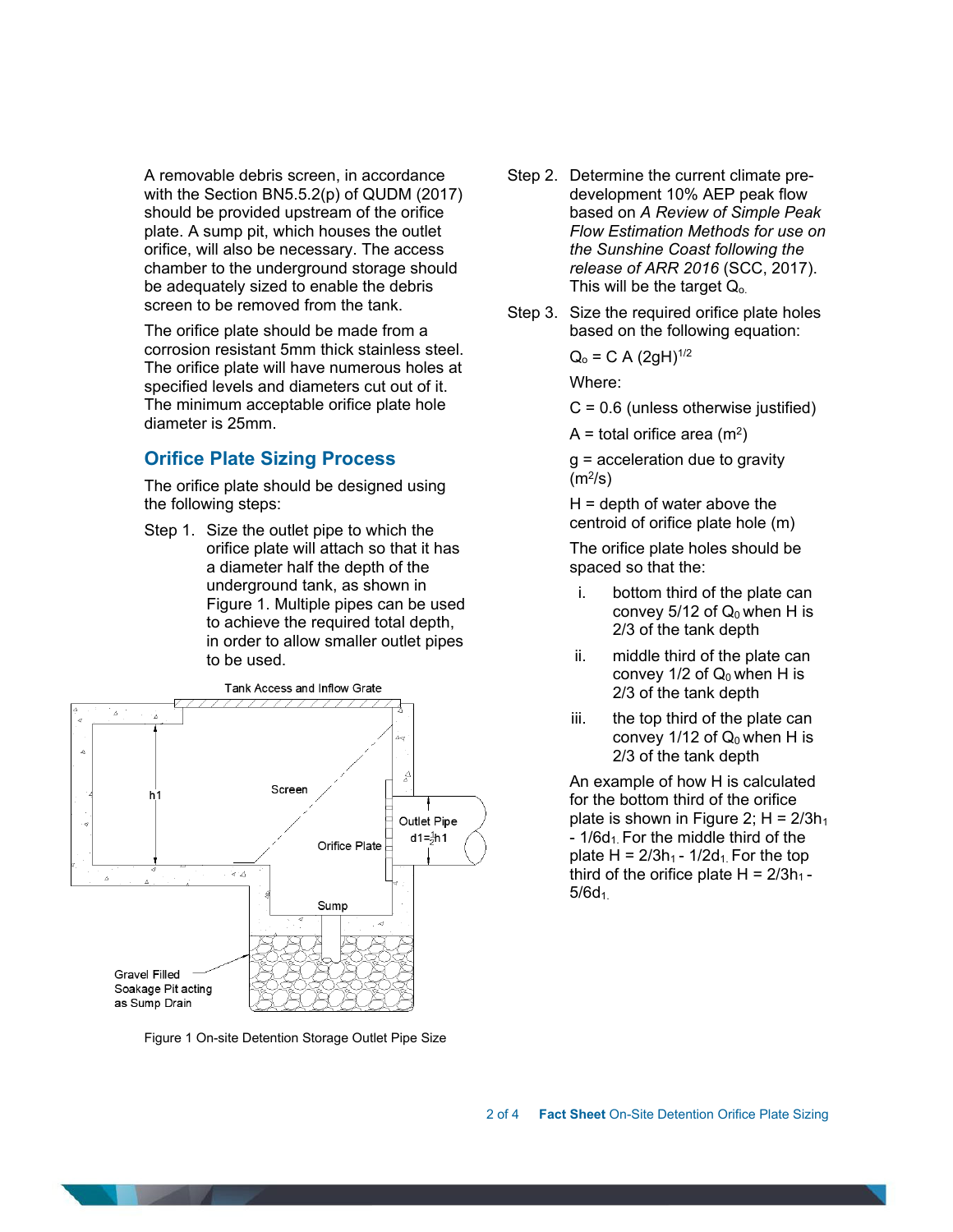A removable debris screen, in accordance with the Section BN5.5.2(p) of QUDM (2017) should be provided upstream of the orifice plate. A sump pit, which houses the outlet orifice, will also be necessary. The access chamber to the underground storage should be adequately sized to enable the debris screen to be removed from the tank.

The orifice plate should be made from a corrosion resistant 5mm thick stainless steel. The orifice plate will have numerous holes at specified levels and diameters cut out of it. The minimum acceptable orifice plate hole diameter is 25mm.

## **Orifice Plate Sizing Process**

The orifice plate should be designed using the following steps:

Step 1. Size the outlet pipe to which the orifice plate will attach so that it has a diameter half the depth of the underground tank, as shown in Figure 1. Multiple pipes can be used to achieve the required total depth, in order to allow smaller outlet pipes to be used.



Figure 1 On-site Detention Storage Outlet Pipe Size

- Step 2. Determine the current climate predevelopment 10% AEP peak flow based on *A Review of Simple Peak Flow Estimation Methods for use on the Sunshine Coast following the release of ARR 2016* (SCC, 2017). This will be the target  $Q_0$ .
- Step 3. Size the required orifice plate holes based on the following equation:

$$
Q_0 = C A (2gH)^{1/2}
$$

Where:

 $C = 0.6$  (unless otherwise justified)

 $A =$  total orifice area (m<sup>2</sup>)

g = acceleration due to gravity  $(m<sup>2</sup>/s)$ 

 $H =$  depth of water above the centroid of orifice plate hole (m)

The orifice plate holes should be spaced so that the:

- i. bottom third of the plate can convey  $5/12$  of  $Q_0$  when H is 2/3 of the tank depth
- ii. middle third of the plate can convey  $1/2$  of  $Q_0$  when H is 2/3 of the tank depth
- iii. the top third of the plate can convey  $1/12$  of  $Q_0$  when H is 2/3 of the tank depth

An example of how H is calculated for the bottom third of the orifice plate is shown in Figure 2;  $H = 2/3h_1$  $-1/6d_1$ . For the middle third of the plate H =  $2/3h_1 - 1/2d_1$ . For the top third of the orifice plate  $H = 2/3h_1$ - $5/6d_1$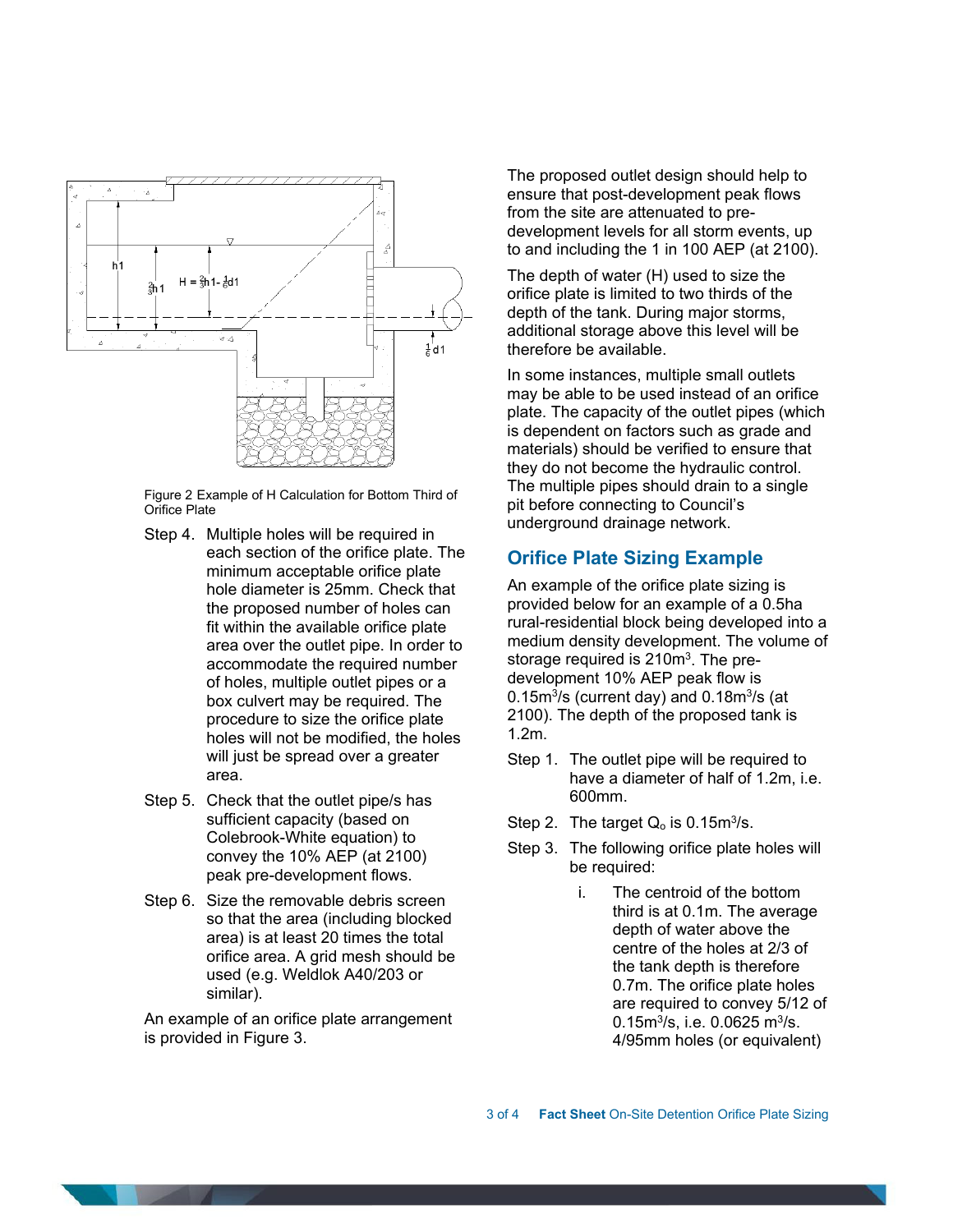

Figure 2 Example of H Calculation for Bottom Third of Orifice Plate

- Step 4. Multiple holes will be required in each section of the orifice plate. The minimum acceptable orifice plate hole diameter is 25mm. Check that the proposed number of holes can fit within the available orifice plate area over the outlet pipe. In order to accommodate the required number of holes, multiple outlet pipes or a box culvert may be required. The procedure to size the orifice plate holes will not be modified, the holes will just be spread over a greater area.
- Step 5. Check that the outlet pipe/s has sufficient capacity (based on Colebrook-White equation) to convey the 10% AEP (at 2100) peak pre-development flows.
- Step 6. Size the removable debris screen so that the area (including blocked area) is at least 20 times the total orifice area. A grid mesh should be used (e.g. Weldlok A40/203 or similar).

An example of an orifice plate arrangement is provided in Figure 3.

The proposed outlet design should help to ensure that post-development peak flows from the site are attenuated to predevelopment levels for all storm events, up to and including the 1 in 100 AEP (at 2100).

The depth of water (H) used to size the orifice plate is limited to two thirds of the depth of the tank. During major storms, additional storage above this level will be therefore be available.

In some instances, multiple small outlets may be able to be used instead of an orifice plate. The capacity of the outlet pipes (which is dependent on factors such as grade and materials) should be verified to ensure that they do not become the hydraulic control. The multiple pipes should drain to a single pit before connecting to Council's underground drainage network.

## **Orifice Plate Sizing Example**

An example of the orifice plate sizing is provided below for an example of a 0.5ha rural-residential block being developed into a medium density development. The volume of storage required is 210m<sup>3</sup>. The predevelopment 10% AEP peak flow is  $0.15<sup>3</sup>/s$  (current day) and  $0.18<sup>3</sup>/s$  (at 2100). The depth of the proposed tank is 1.2m.

- Step 1. The outlet pipe will be required to have a diameter of half of 1.2m, i.e. 600mm.
- Step 2. The target  $Q_0$  is 0.15m<sup>3</sup>/s.
- Step 3. The following orifice plate holes will be required:
	- i. The centroid of the bottom third is at 0.1m. The average depth of water above the centre of the holes at 2/3 of the tank depth is therefore 0.7m. The orifice plate holes are required to convey 5/12 of  $0.15$ m<sup>3</sup>/s, i.e.  $0.0625$  m<sup>3</sup>/s. 4/95mm holes (or equivalent)